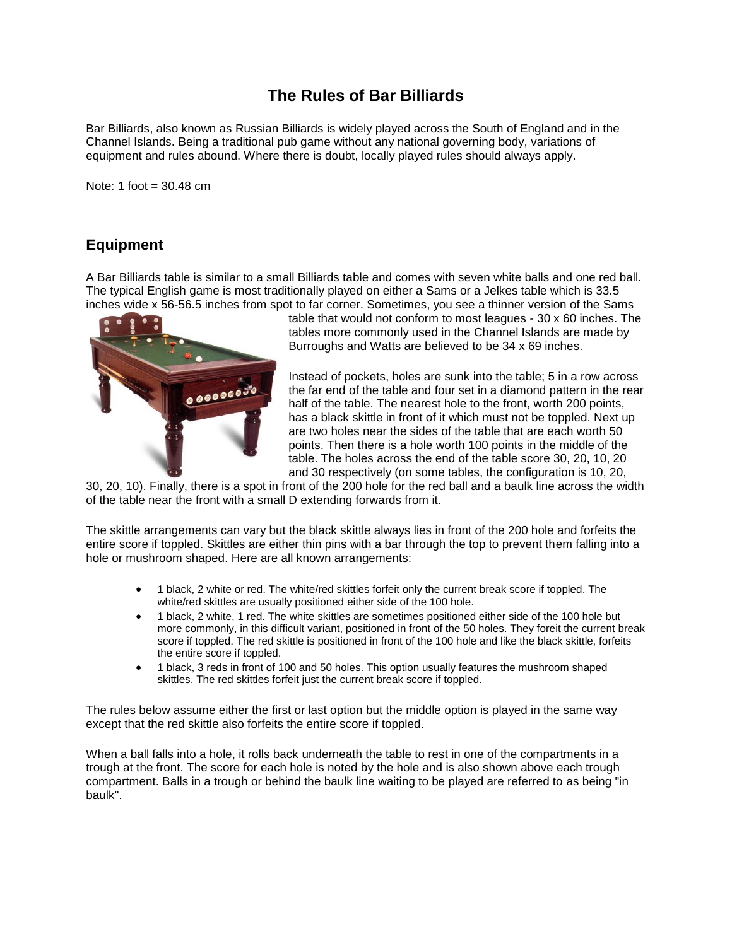# **The Rules of Bar Billiards**

Bar Billiards, also known as Russian Billiards is widely played across the South of England and in the Channel Islands. Being a traditional pub game without any national governing body, variations of equipment and rules abound. Where there is doubt, locally played rules should always apply.

Note: 1 foot  $=$  30.48 cm

## **Equipment**

A Bar Billiards table is similar to a small Billiards table and comes with seven white balls and one red ball. The typical English game is most traditionally played on either a Sams or a Jelkes table which is 33.5 inches wide x 56-56.5 inches from spot to far corner. Sometimes, you see a thinner version of the Sams



table that would not conform to most leagues - 30 x 60 inches. The tables more commonly used in the Channel Islands are made by Burroughs and Watts are believed to be 34 x 69 inches.

Instead of pockets, holes are sunk into the table; 5 in a row across the far end of the table and four set in a diamond pattern in the rear half of the table. The nearest hole to the front, worth 200 points, has a black skittle in front of it which must not be toppled. Next up are two holes near the sides of the table that are each worth 50 points. Then there is a hole worth 100 points in the middle of the table. The holes across the end of the table score 30, 20, 10, 20 and 30 respectively (on some tables, the configuration is 10, 20,

30, 20, 10). Finally, there is a spot in front of the 200 hole for the red ball and a baulk line across the width of the table near the front with a small D extending forwards from it.

The skittle arrangements can vary but the black skittle always lies in front of the 200 hole and forfeits the entire score if toppled. Skittles are either thin pins with a bar through the top to prevent them falling into a hole or mushroom shaped. Here are all known arrangements:

- 1 black, 2 white or red. The white/red skittles forfeit only the current break score if toppled. The white/red skittles are usually positioned either side of the 100 hole.
- 1 black, 2 white, 1 red. The white skittles are sometimes positioned either side of the 100 hole but more commonly, in this difficult variant, positioned in front of the 50 holes. They foreit the current break score if toppled. The red skittle is positioned in front of the 100 hole and like the black skittle, forfeits the entire score if toppled.
- 1 black, 3 reds in front of 100 and 50 holes. This option usually features the mushroom shaped skittles. The red skittles forfeit just the current break score if toppled.

The rules below assume either the first or last option but the middle option is played in the same way except that the red skittle also forfeits the entire score if toppled.

When a ball falls into a hole, it rolls back underneath the table to rest in one of the compartments in a trough at the front. The score for each hole is noted by the hole and is also shown above each trough compartment. Balls in a trough or behind the baulk line waiting to be played are referred to as being "in baulk".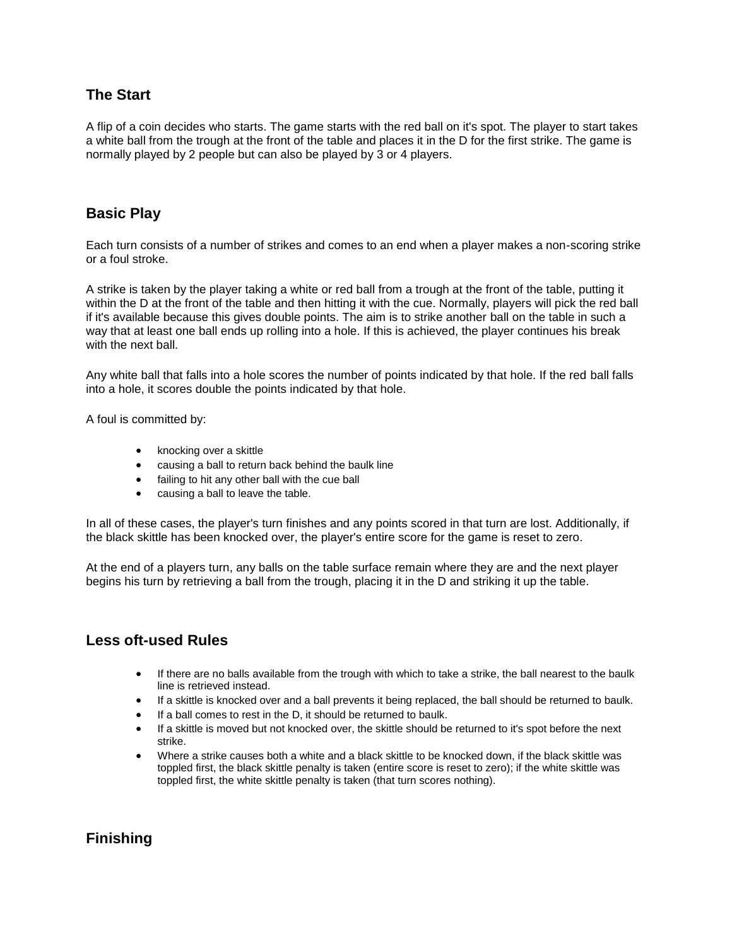## **The Start**

A flip of a coin decides who starts. The game starts with the red ball on it's spot. The player to start takes a white ball from the trough at the front of the table and places it in the D for the first strike. The game is normally played by 2 people but can also be played by 3 or 4 players.

### **Basic Play**

Each turn consists of a number of strikes and comes to an end when a player makes a non-scoring strike or a foul stroke.

A strike is taken by the player taking a white or red ball from a trough at the front of the table, putting it within the D at the front of the table and then hitting it with the cue. Normally, players will pick the red ball if it's available because this gives double points. The aim is to strike another ball on the table in such a way that at least one ball ends up rolling into a hole. If this is achieved, the player continues his break with the next ball

Any white ball that falls into a hole scores the number of points indicated by that hole. If the red ball falls into a hole, it scores double the points indicated by that hole.

A foul is committed by:

- knocking over a skittle
- causing a ball to return back behind the baulk line
- failing to hit any other ball with the cue ball
- causing a ball to leave the table.

In all of these cases, the player's turn finishes and any points scored in that turn are lost. Additionally, if the black skittle has been knocked over, the player's entire score for the game is reset to zero.

At the end of a players turn, any balls on the table surface remain where they are and the next player begins his turn by retrieving a ball from the trough, placing it in the D and striking it up the table.

#### **Less oft-used Rules**

- If there are no balls available from the trough with which to take a strike, the ball nearest to the baulk line is retrieved instead.
- If a skittle is knocked over and a ball prevents it being replaced, the ball should be returned to baulk.
- If a ball comes to rest in the D, it should be returned to baulk.
- If a skittle is moved but not knocked over, the skittle should be returned to it's spot before the next strike.
- Where a strike causes both a white and a black skittle to be knocked down, if the black skittle was toppled first, the black skittle penalty is taken (entire score is reset to zero); if the white skittle was toppled first, the white skittle penalty is taken (that turn scores nothing).

## **Finishing**